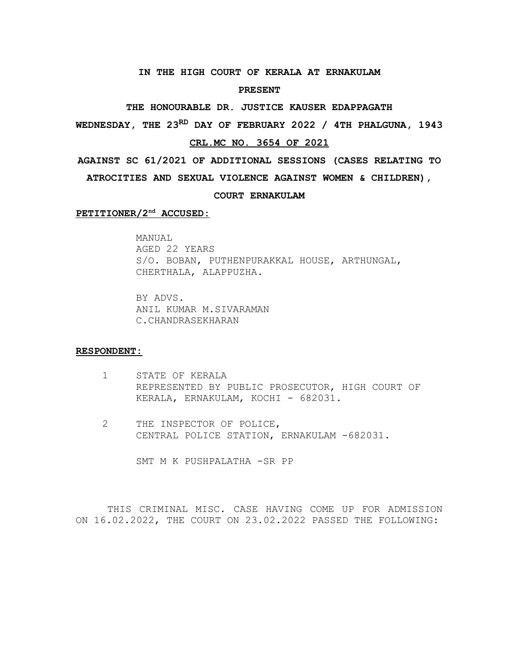#### **IN THE HIGH COURT OF KERALA AT ERNAKULAM**

#### **PRESENT**

**THE HONOURABLE DR. JUSTICE KAUSER EDAPPAGATH**

**WEDNESDAY, THE 23RD DAY OF FEBRUARY 2022 / 4TH PHALGUNA, 1943**

# **CRL.MC NO. 3654 OF 2021**

**AGAINST SC 61/2021 OF ADDITIONAL SESSIONS (CASES RELATING TO**

**ATROCITIES AND SEXUAL VIOLENCE AGAINST WOMEN & CHILDREN),**

### **COURT ERNAKULAM**

 **PETITIONER/2nd ACCUSED:**

MANUAL AGED 22 YEARS S/O. BOBAN, PUTHENPURAKKAL HOUSE, ARTHUNGAL, CHERTHALA, ALAPPUZHA.

BY ADVS. ANIL KUMAR M.SIVARAMAN C.CHANDRASEKHARAN

## **RESPONDENT:**

- 1 STATE OF KERALA REPRESENTED BY PUBLIC PROSECUTOR, HIGH COURT OF KERALA, ERNAKULAM, KOCHI - 682031.
- 2 THE INSPECTOR OF POLICE, CENTRAL POLICE STATION, ERNAKULAM -682031.

SMT M K PUSHPALATHA -SR PP

THIS CRIMINAL MISC. CASE HAVING COME UP FOR ADMISSION ON 16.02.2022, THE COURT ON 23.02.2022 PASSED THE FOLLOWING: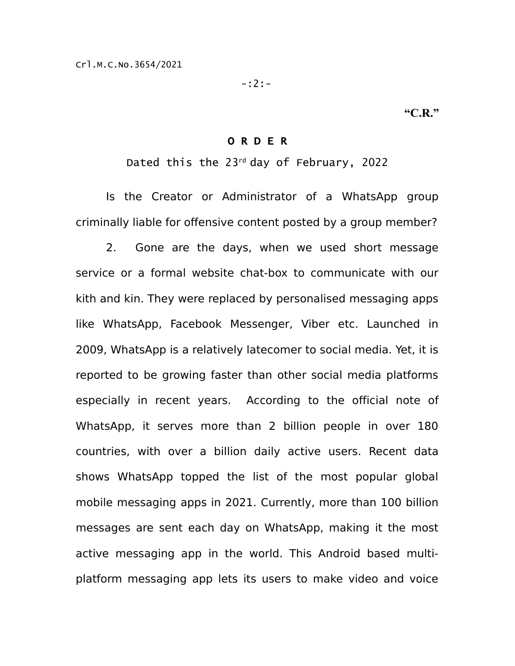-:2:-

**"C.R."**

# O R D E R

Dated this the  $23^{rd}$  day of February, 2022

Is the Creator or Administrator of a WhatsApp group criminally liable for offensive content posted by a group member?

2. Gone are the days, when we used short message service or a formal website chat-box to communicate with our kith and kin. They were replaced by personalised messaging apps like WhatsApp, Facebook Messenger, Viber etc. Launched in 2009, WhatsApp is a relatively latecomer to social media. Yet, it is reported to be growing faster than other social media platforms especially in recent years. According to the official note of WhatsApp, it serves more than 2 billion people in over 180 countries, with over a billion daily active users. Recent data shows WhatsApp topped the list of the most popular global mobile messaging apps in 2021. Currently, more than 100 billion messages are sent each day on WhatsApp, making it the most active messaging app in the world. This Android based multiplatform messaging app lets its users to make video and voice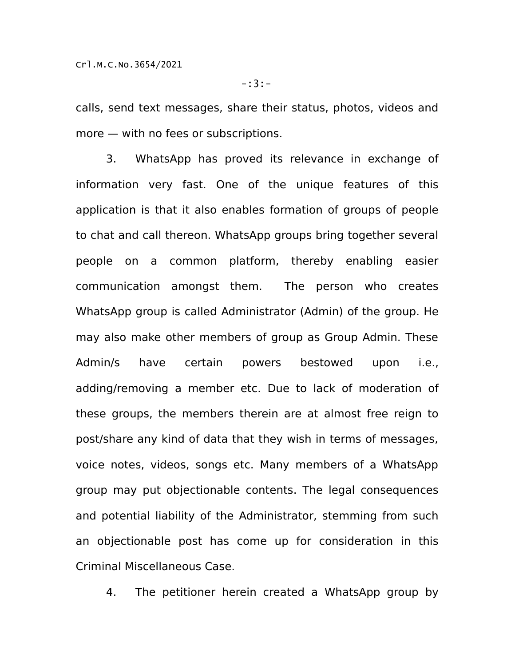calls, send text messages, share their status, photos, videos and more — with no fees or subscriptions.

3. WhatsApp has proved its relevance in exchange of information very fast. One of the unique features of this application is that it also enables formation of groups of people to chat and call thereon. WhatsApp groups bring together several people on a common platform, thereby enabling easier communication amongst them. The person who creates WhatsApp group is called Administrator (Admin) of the group. He may also make other members of group as Group Admin. These Admin/s have certain powers bestowed upon i.e., adding/removing a member etc. Due to lack of moderation of these groups, the members therein are at almost free reign to post/share any kind of data that they wish in terms of messages, voice notes, videos, songs etc. Many members of a WhatsApp group may put objectionable contents. The legal consequences and potential liability of the Administrator, stemming from such an objectionable post has come up for consideration in this Criminal Miscellaneous Case.

4. The petitioner herein created a WhatsApp group by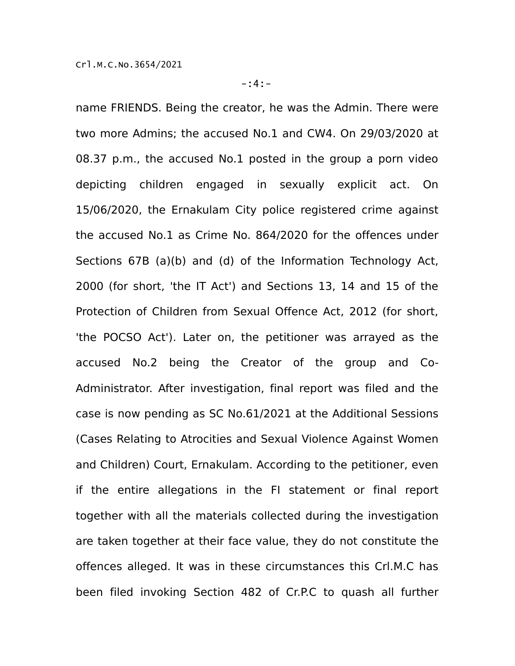name FRIENDS. Being the creator, he was the Admin. There were two more Admins; the accused No.1 and CW4. On 29/03/2020 at 08.37 p.m., the accused No.1 posted in the group a porn video depicting children engaged in sexually explicit act. On 15/06/2020, the Ernakulam City police registered crime against the accused No.1 as Crime No. 864/2020 for the offences under Sections 67B (a)(b) and (d) of the Information Technology Act, 2000 (for short, 'the IT Act') and Sections 13, 14 and 15 of the Protection of Children from Sexual Offence Act, 2012 (for short, 'the POCSO Act'). Later on, the petitioner was arrayed as the accused No.2 being the Creator of the group and Co-Administrator. After investigation, final report was filed and the case is now pending as SC No.61/2021 at the Additional Sessions (Cases Relating to Atrocities and Sexual Violence Against Women and Children) Court, Ernakulam. According to the petitioner, even if the entire allegations in the FI statement or final report together with all the materials collected during the investigation are taken together at their face value, they do not constitute the offences alleged. It was in these circumstances this Crl.M.C has been filed invoking Section 482 of Cr.P.C to quash all further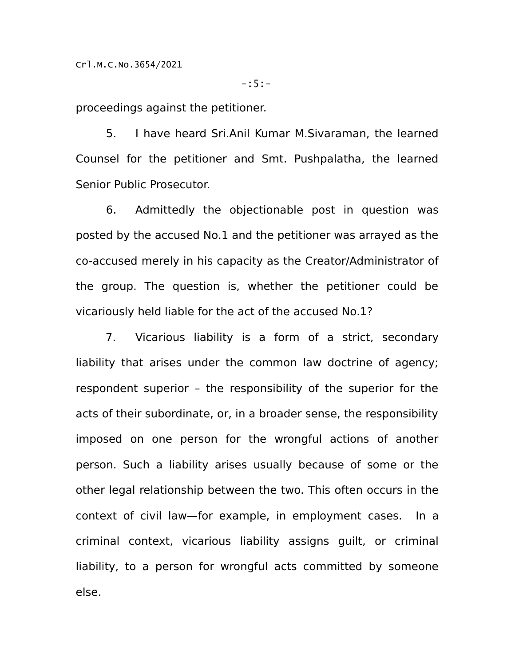-:5:-

proceedings against the petitioner.

5. I have heard Sri.Anil Kumar M.Sivaraman, the learned Counsel for the petitioner and Smt. Pushpalatha, the learned Senior Public Prosecutor.

6. Admittedly the objectionable post in question was posted by the accused No.1 and the petitioner was arrayed as the co-accused merely in his capacity as the Creator/Administrator of the group. The question is, whether the petitioner could be vicariously held liable for the act of the accused No.1?

7. Vicarious liability is a form of a strict, secondary liability that arises under the common law doctrine of agency; respondent superior – the responsibility of the superior for the acts of their subordinate, or, in a broader sense, the responsibility imposed on one person for the wrongful actions of another person. Such a liability arises usually because of some or the other legal relationship between the two. This often occurs in the context of civil law—for example, in employment cases. In a criminal context, vicarious liability assigns guilt, or criminal liability, to a person for wrongful acts committed by someone else.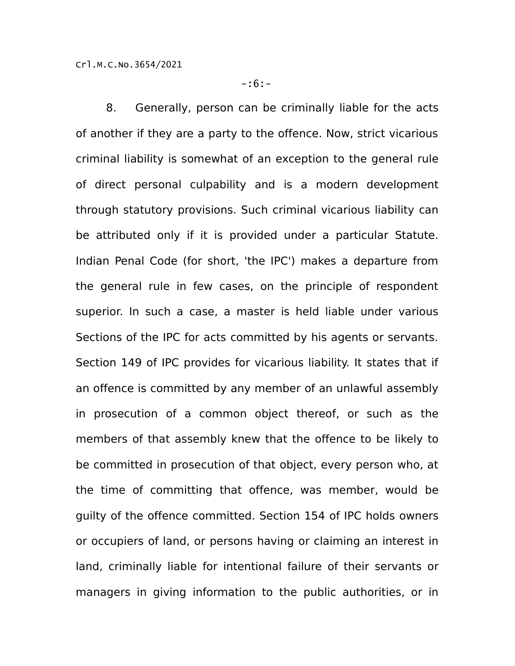8. Generally, person can be criminally liable for the acts of another if they are a party to the offence. Now, strict vicarious criminal liability is somewhat of an exception to the general rule of direct personal culpability and is a modern development through statutory provisions. Such criminal vicarious liability can be attributed only if it is provided under a particular Statute. Indian Penal Code (for short, 'the IPC') makes a departure from the general rule in few cases, on the principle of respondent superior. In such a case, a master is held liable under various Sections of the IPC for acts committed by his agents or servants. Section 149 of IPC provides for vicarious liability. It states that if an offence is committed by any member of an unlawful assembly in prosecution of a common object thereof, or such as the members of that assembly knew that the offence to be likely to be committed in prosecution of that object, every person who, at the time of committing that offence, was member, would be guilty of the offence committed. Section 154 of IPC holds owners or occupiers of land, or persons having or claiming an interest in land, criminally liable for intentional failure of their servants or managers in giving information to the public authorities, or in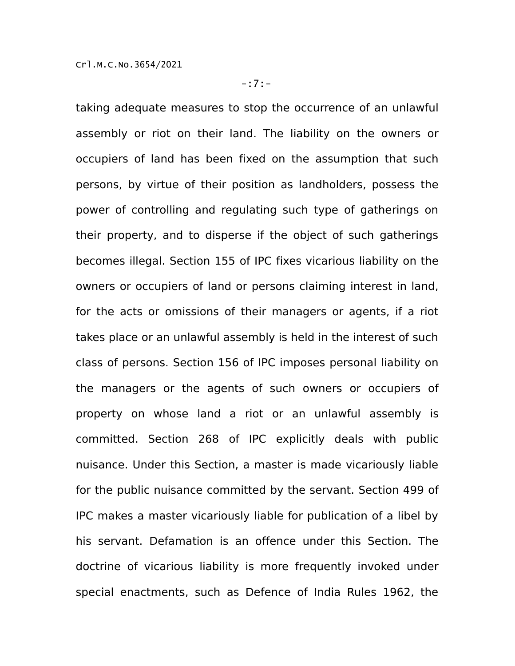taking adequate measures to stop the occurrence of an unlawful assembly or riot on their land. The liability on the owners or occupiers of land has been fixed on the assumption that such persons, by virtue of their position as landholders, possess the power of controlling and regulating such type of gatherings on their property, and to disperse if the object of such gatherings becomes illegal. Section 155 of IPC fixes vicarious liability on the owners or occupiers of land or persons claiming interest in land, for the acts or omissions of their managers or agents, if a riot takes place or an unlawful assembly is held in the interest of such class of persons. Section 156 of IPC imposes personal liability on the managers or the agents of such owners or occupiers of property on whose land a riot or an unlawful assembly is committed. Section 268 of IPC explicitly deals with public nuisance. Under this Section, a master is made vicariously liable for the public nuisance committed by the servant. Section 499 of IPC makes a master vicariously liable for publication of a libel by his servant. Defamation is an offence under this Section. The doctrine of vicarious liability is more frequently invoked under special enactments, such as Defence of India Rules 1962, the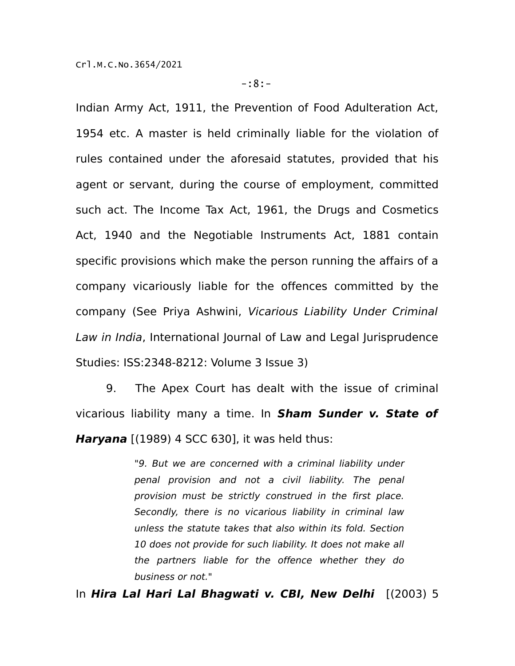Indian Army Act, 1911, the Prevention of Food Adulteration Act, 1954 etc. A master is held criminally liable for the violation of rules contained under the aforesaid statutes, provided that his agent or servant, during the course of employment, committed such act. The Income Tax Act, 1961, the Drugs and Cosmetics Act, 1940 and the Negotiable Instruments Act, 1881 contain specific provisions which make the person running the affairs of a company vicariously liable for the offences committed by the company (See Priya Ashwini, Vicarious Liability Under Criminal Law in India, International Journal of Law and Legal Jurisprudence Studies: ISS:2348-8212: Volume 3 Issue 3)

9. The Apex Court has dealt with the issue of criminal vicarious liability many a time. In **Sham Sunder v. State of Haryana** [(1989) 4 SCC 630], it was held thus:

> "9. But we are concerned with a criminal liability under penal provision and not a civil liability. The penal provision must be strictly construed in the first place. Secondly, there is no vicarious liability in criminal law unless the statute takes that also within its fold. Section 10 does not provide for such liability. It does not make all the partners liable for the offence whether they do business or not."

In **Hira Lal Hari Lal Bhagwati v. CBI, New Delhi** [(2003) 5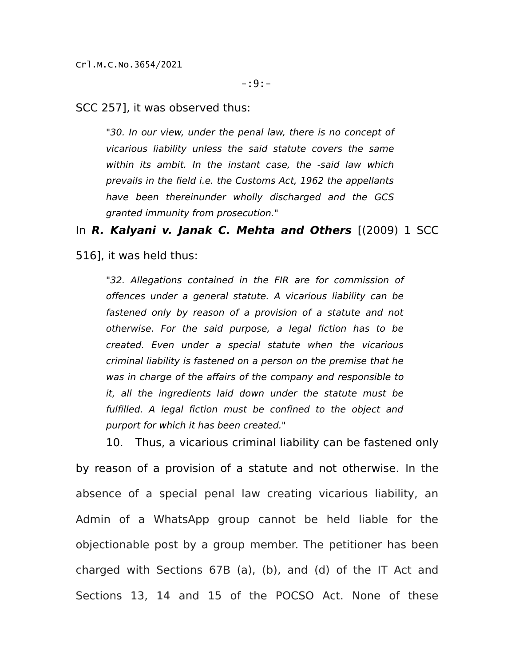SCC 257], it was observed thus:

"30. In our view, under the penal law, there is no concept of vicarious liability unless the said statute covers the same within its ambit. In the instant case, the -said law which prevails in the field i.e. the Customs Act, 1962 the appellants have been thereinunder wholly discharged and the GCS granted immunity from prosecution."

In **R. Kalyani v. Janak C. Mehta and Others** [(2009) 1 SCC

516], it was held thus:

"32. Allegations contained in the FIR are for commission of offences under a general statute. A vicarious liability can be fastened only by reason of a provision of a statute and not otherwise. For the said purpose, a legal fiction has to be created. Even under a special statute when the vicarious criminal liability is fastened on a person on the premise that he was in charge of the affairs of the company and responsible to it, all the ingredients laid down under the statute must be fulfilled. A legal fiction must be confined to the object and purport for which it has been created."

10. Thus, a vicarious criminal liability can be fastened only by reason of a provision of a statute and not otherwise. In the absence of a special penal law creating vicarious liability, an Admin of a WhatsApp group cannot be held liable for the objectionable post by a group member. The petitioner has been charged with Sections 67B (a), (b), and (d) of the IT Act and Sections 13, 14 and 15 of the POCSO Act. None of these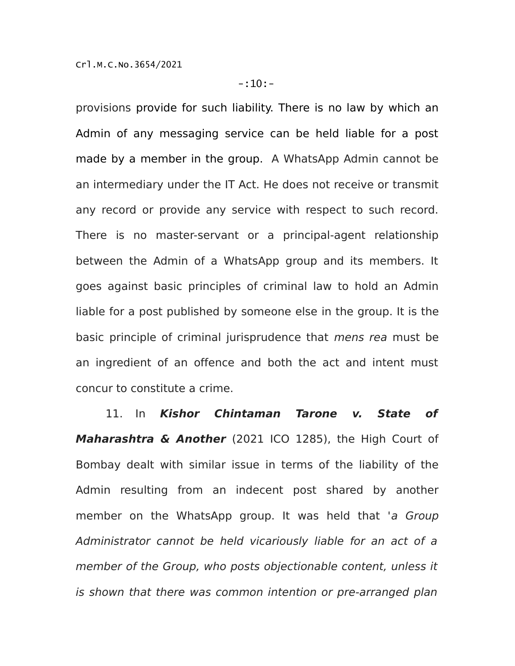provisions provide for such liability. There is no law by which an Admin of any messaging service can be held liable for a post made by a member in the group. A WhatsApp Admin cannot be an intermediary under the IT Act. He does not receive or transmit any record or provide any service with respect to such record. There is no master-servant or a principal-agent relationship between the Admin of a WhatsApp group and its members. It goes against basic principles of criminal law to hold an Admin liable for a post published by someone else in the group. It is the basic principle of criminal jurisprudence that mens rea must be an ingredient of an offence and both the act and intent must concur to constitute a crime.

11. In **Kishor Chintaman Tarone v. State of Maharashtra & Another** (2021 ICO 1285), the High Court of Bombay dealt with similar issue in terms of the liability of the Admin resulting from an indecent post shared by another member on the WhatsApp group. It was held that 'a Group Administrator cannot be held vicariously liable for an act of a member of the Group, who posts objectionable content, unless it is shown that there was common intention or pre-arranged plan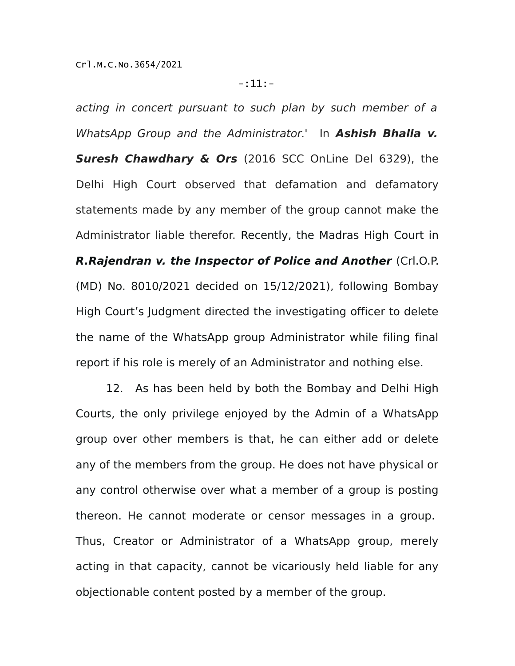acting in concert pursuant to such plan by such member of a WhatsApp Group and the Administrator.' In **Ashish Bhalla v. Suresh Chawdhary & Ors** (2016 SCC OnLine Del 6329), the Delhi High Court observed that defamation and defamatory statements made by any member of the group cannot make the Administrator liable therefor. Recently, the Madras High Court in **R.Rajendran v. the Inspector of Police and Another** (Crl.O.P. (MD) No. 8010/2021 decided on 15/12/2021), following Bombay High Court's Judgment directed the investigating officer to delete the name of the WhatsApp group Administrator while filing final report if his role is merely of an Administrator and nothing else.

12. As has been held by both the Bombay and Delhi High Courts, the only privilege enjoyed by the Admin of a WhatsApp group over other members is that, he can either add or delete any of the members from the group. He does not have physical or any control otherwise over what a member of a group is posting thereon. He cannot moderate or censor messages in a group. Thus, Creator or Administrator of a WhatsApp group, merely acting in that capacity, cannot be vicariously held liable for any objectionable content posted by a member of the group.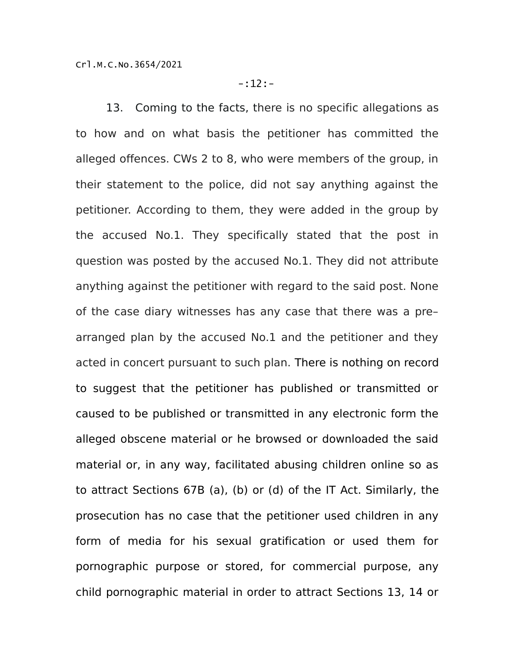13. Coming to the facts, there is no specific allegations as to how and on what basis the petitioner has committed the alleged offences. CWs 2 to 8, who were members of the group, in their statement to the police, did not say anything against the petitioner. According to them, they were added in the group by the accused No.1. They specifically stated that the post in question was posted by the accused No.1. They did not attribute anything against the petitioner with regard to the said post. None of the case diary witnesses has any case that there was a pre– arranged plan by the accused No.1 and the petitioner and they acted in concert pursuant to such plan. There is nothing on record to suggest that the petitioner has published or transmitted or caused to be published or transmitted in any electronic form the alleged obscene material or he browsed or downloaded the said material or, in any way, facilitated abusing children online so as to attract Sections 67B (a), (b) or (d) of the IT Act. Similarly, the prosecution has no case that the petitioner used children in any form of media for his sexual gratification or used them for pornographic purpose or stored, for commercial purpose, any child pornographic material in order to attract Sections 13, 14 or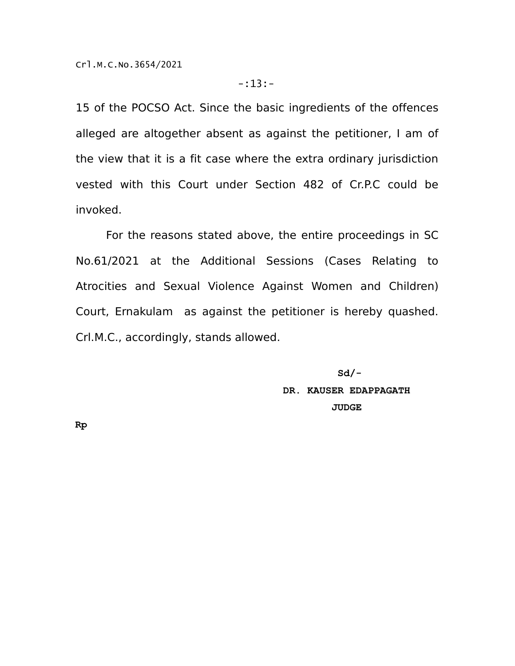15 of the POCSO Act. Since the basic ingredients of the offences alleged are altogether absent as against the petitioner, I am of the view that it is a fit case where the extra ordinary jurisdiction vested with this Court under Section 482 of Cr.P.C could be invoked.

For the reasons stated above, the entire proceedings in SC No.61/2021 at the Additional Sessions (Cases Relating to Atrocities and Sexual Violence Against Women and Children) Court, Ernakulam as against the petitioner is hereby quashed. Crl.M.C., accordingly, stands allowed.

> **Sd/- DR. KAUSER EDAPPAGATH JUDGE**

**Rp**